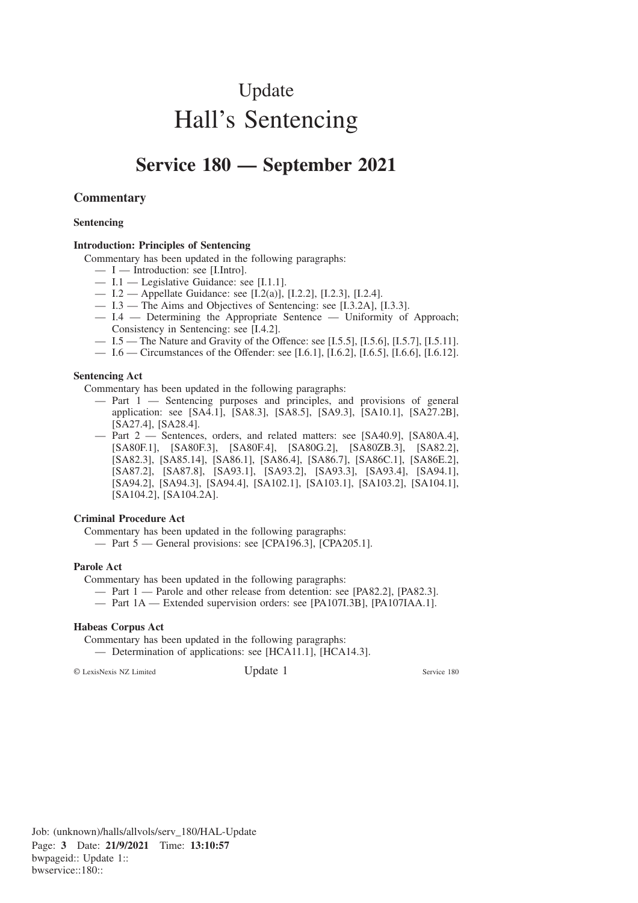# Update Hall's Sentencing

## **Service 180 — September 2021**

#### **Commentary**

#### **Sentencing**

#### **Introduction: Principles of Sentencing**

Commentary has been updated in the following paragraphs:

- I Introduction: see [I.Intro].
- I.1 Legislative Guidance: see [I.1.1].
- I.2 Appellate Guidance: see [I.2(a)], [I.2.2], [I.2.3], [I.2.4].
- I.3 The Aims and Objectives of Sentencing: see [I.3.2A], [I.3.3].
- I.4 Determining the Appropriate Sentence Uniformity of Approach; Consistency in Sentencing: see [I.4.2].
- I.5 The Nature and Gravity of the Offence: see [I.5.5], [I.5.6], [I.5.7], [I.5.11].
- I.6 Circumstances of the Offender: see [I.6.1], [I.6.2], [I.6.5], [I.6.6], [I.6.12].

#### **Sentencing Act**

Commentary has been updated in the following paragraphs:

- Part 1 Sentencing purposes and principles, and provisions of general application: see [SA4.1], [SA8.3], [SA8.5], [SA9.3], [SA10.1], [SA27.2B], [SA27.4], [SA28.4].
- Part 2 Sentences, orders, and related matters: see [SA40.9], [SA80A.4], [SA80F.1], [SA80F.3], [SA80F.4], [SA80G.2], [SA80ZB.3], [SA82.2], [SA82.3], [SA85.14], [SA86.1], [SA86.4], [SA86.7], [SA86C.1], [SA86E.2], [SA87.2], [SA87.8], [SA93.1], [SA93.2], [SA93.3], [SA93.4], [SA94.1], [SA94.2], [SA94.3], [SA94.4], [SA102.1], [SA103.1], [SA103.2], [SA104.1], [SA104.2], [SA104.2A].

#### **Criminal Procedure Act**

Commentary has been updated in the following paragraphs:

— Part 5 — General provisions: see [CPA196.3], [CPA205.1].

#### **Parole Act**

Commentary has been updated in the following paragraphs:

- Part 1 Parole and other release from detention: see [PA82.2], [PA82.3].
- Part 1A Extended supervision orders: see [PA107I.3B], [PA107IAA.1].

#### **Habeas Corpus Act**

Commentary has been updated in the following paragraphs:

— Determination of applications: see [HCA11.1], [HCA14.3].

© LexisNexis NZ Limited Update 1 Service 180